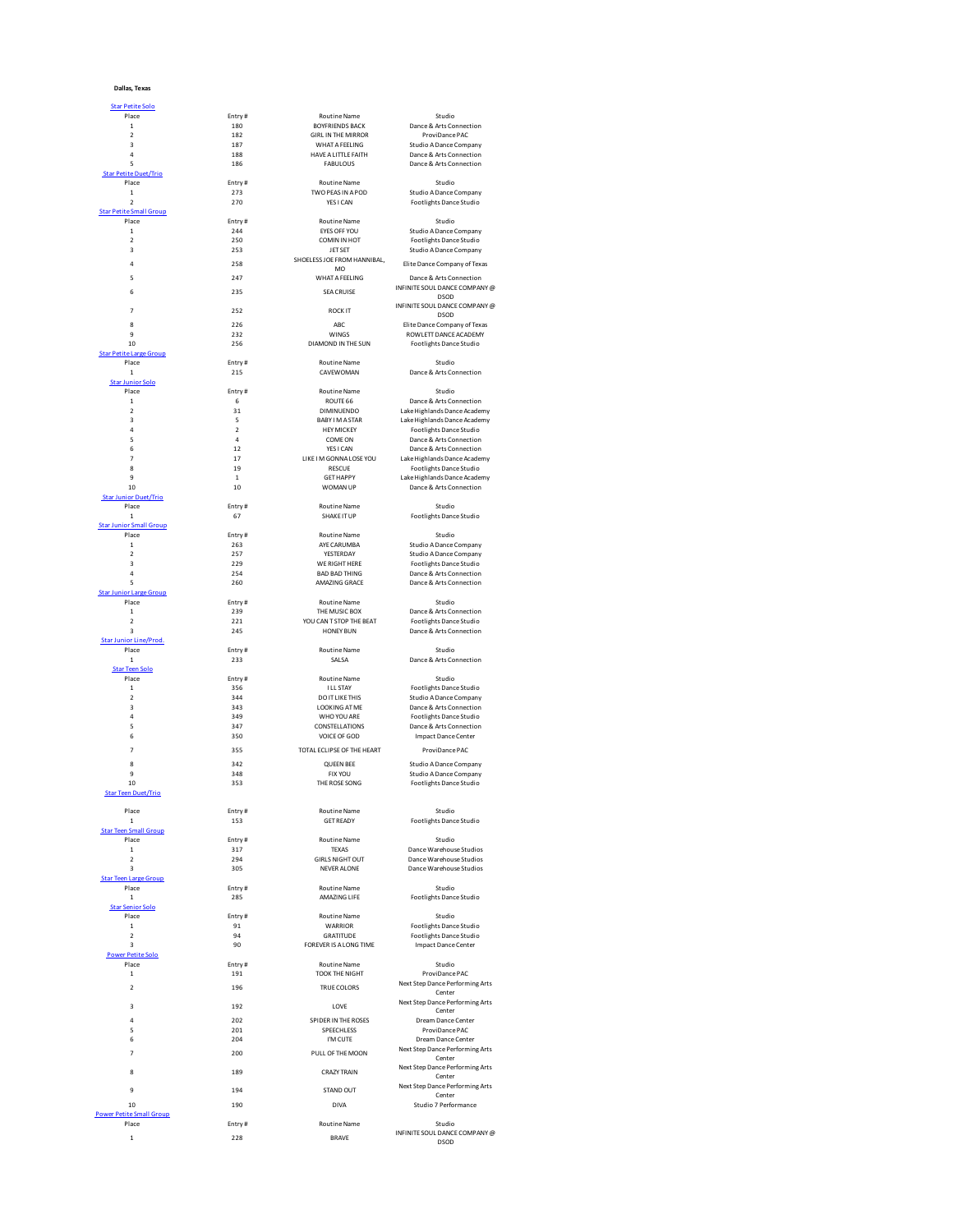|  | Dallas, Texas |
|--|---------------|
|--|---------------|

| <b>Star Petite Solo</b>                         |                      |                                              |                                                    |
|-------------------------------------------------|----------------------|----------------------------------------------|----------------------------------------------------|
| Place                                           | Entry#               | Routine Name                                 | Studio                                             |
| $\,$ 1                                          | 180                  | <b>BOYFRIENDS BACK</b>                       | Dance & Arts Connection                            |
| $\overline{\mathbf{c}}$                         | 182                  | <b>GIRL IN THE MIRROR</b>                    | ProviDance PAC                                     |
| 3<br>4                                          | 187<br>188           | WHAT A FEELING<br>HAVE A LITTLE FAITH        | Studio A Dance Company<br>Dance & Arts Connection  |
| 5                                               | 186                  | <b>FABULOUS</b>                              | Dance & Arts Connection                            |
| <b>Star Petite Duet/Trio</b>                    |                      |                                              |                                                    |
| Place                                           | Entry#               | <b>Routine Name</b>                          | Studio                                             |
| $\mathbf 1$<br>$\overline{2}$                   | 273<br>270           | TWO PEAS IN A POD<br>YES I CAN               | Studio A Dance Company<br>Footlights Dance Studio  |
| <b>Star Petite Small Group</b>                  |                      |                                              |                                                    |
| Place                                           | Entry#               | <b>Routine Name</b>                          | Studio                                             |
| $\mathbf{1}$                                    | 244                  | EYES OFF YOU                                 | Studio A Dance Company                             |
| $\overline{\mathbf{c}}$<br>$\overline{a}$       | 250<br>253           | COMIN IN HOT<br>JET SET                      | Footlights Dance Studio                            |
|                                                 |                      | SHOELESS JOE FROM HANNIBAL,                  | Studio A Dance Company                             |
| $\overline{a}$                                  | 258                  | MO                                           | Elite Dance Company of Texas                       |
| 5                                               | 247                  | WHAT A FEELING                               | Dance & Arts Connection                            |
| 6                                               | 235                  | <b>SEA CRUISE</b>                            | INFINITE SOUL DANCE COMPANY @<br>DSOD              |
|                                                 |                      |                                              | INFINITE SOUL DANCE COMPANY @                      |
| $\overline{7}$                                  | 252                  | <b>ROCK IT</b>                               | <b>DSOD</b>                                        |
| 8                                               | 226                  | ABC                                          | Elite Dance Company of Texas                       |
| 9<br>10                                         | 232<br>256           | WINGS<br>DIAMOND IN THE SUN                  | ROWLETT DANCE ACADEMY<br>Footlights Dance Studio   |
| <b>Star Petite Large Group</b>                  |                      |                                              |                                                    |
| Place                                           | Entry#               | <b>Routine Name</b>                          | Studio                                             |
| $\mathbf 1$                                     | 215                  | CAVEWOMAN                                    | Dance & Arts Connection                            |
| <b>Star Junior Solo</b><br>Place                | Entry#               | Routine Name                                 | Studio                                             |
| $\mathbf{1}$                                    | 6                    | ROUTE 66                                     | Dance & Arts Connection                            |
| $\overline{\mathbf{c}}$                         | 31                   | <b>DIMINUENDO</b>                            | Lake Highlands Dance Academy                       |
| 3                                               | 5                    | <b>BABY I M A STAR</b>                       | Lake Highlands Dance Academy                       |
| 4                                               | $\overline{2}$       | <b>HEY MICKEY</b>                            | Footlights Dance Studio                            |
| 5<br>6                                          | $\overline{a}$<br>12 | COME ON<br>YES LCAN                          | Dance & Arts Connection<br>Dance & Arts Connection |
| $\overline{7}$                                  | 17                   | LIKE I M GONNA LOSE YOU                      | Lake Highlands Dance Academy                       |
| 8                                               | 19                   | <b>RESCUE</b>                                | Footlights Dance Studio                            |
| 9                                               | $\mathbf 1$          | <b>GET HAPPY</b>                             | Lake Highlands Dance Academy                       |
| 10<br><b>Star Junior Duet/Trio</b>              | 10                   | WOMAN UP                                     | Dance & Arts Connection                            |
| Place                                           | Entry#               | <b>Routine Name</b>                          | Studio                                             |
| $\mathbf{1}$                                    | 67                   | SHAKE IT UP                                  | Footlights Dance Studio                            |
| <b>Star Junior Small Group</b>                  |                      |                                              |                                                    |
| Place<br>$\mathbf{1}$                           | Entry#<br>263        | <b>Routine Name</b><br>AYE CARUMBA           | Studio<br>Studio A Dance Company                   |
| $\mathfrak{p}$                                  | 257                  | YESTERDAY                                    | Studio A Dance Company                             |
| $\overline{\mathbf{3}}$                         | 229                  | WE RIGHT HERE                                | Footlights Dance Studio                            |
| $\overline{a}$                                  | 254                  | <b>BAD BAD THING</b>                         | Dance & Arts Connection                            |
| 5<br><b>Star Junior Large Group</b>             | 260                  | AMAZING GRACE                                | Dance & Arts Connection                            |
| Place                                           | Entry#               | Routine Name                                 | Studio                                             |
| $\mathbf 1$                                     | 239                  | THE MUSIC BOX                                | Dance & Arts Connection                            |
| $\overline{\mathbf{c}}$                         | 221                  | YOU CAN T STOP THE BEAT                      | Footlights Dance Studio                            |
| $\overline{a}$<br><b>Star Junior Line/Prod.</b> | 245                  | <b>HONEY BUN</b>                             | Dance & Arts Connection                            |
| Place                                           | Entry#               | <b>Routine Name</b>                          | Studio                                             |
| $\mathbf 1$                                     | 233                  | SALSA                                        | Dance & Arts Connection                            |
| <b>Star Teen Solo</b>                           |                      |                                              |                                                    |
| Place<br>$\mathbf{1}$                           | Entry#<br>356        | <b>Routine Name</b><br>I LL STAY             | Studio<br>Footlights Dance Studio                  |
| $\overline{\mathbf{c}}$                         | 344                  | DO IT LIKE THIS                              | Studio A Dance Company                             |
| 3                                               | 343                  | <b>LOOKING AT ME</b>                         | Dance & Arts Connection                            |
| $\overline{a}$                                  | 349                  | WHO YOU ARE                                  | Footlights Dance Studio                            |
| 5<br>6                                          | 347<br>350           | CONSTELLATIONS<br>VOICE OF GOD               | Dance & Arts Connection                            |
|                                                 |                      |                                              | Impact Dance Center                                |
| $\overline{7}$                                  | 355                  | TOTAL ECLIPSE OF THE HEART                   | ProviDance PAC                                     |
| R                                               | 342                  | <b>OUFFN BFF</b>                             | Studio A Dance Company                             |
| 9                                               | 348                  | <b>FIX YOU</b>                               | Studio A Dance Company                             |
| 10<br><b>Star Teen Duet/Trio</b>                | 353                  | THE ROSE SONG                                | Footlights Dance Studio                            |
|                                                 |                      |                                              |                                                    |
| Place                                           | Entry#               | Routine Name                                 | Studio                                             |
| $\mathbf{1}$<br><b>Star Teen Small Group</b>    | 153                  | <b>GET READY</b>                             | Footlights Dance Studio                            |
| Place                                           | Entry#               | <b>Routine Name</b>                          | Studio                                             |
| $\mathbf 1$                                     | 317                  | <b>TEXAS</b>                                 | Dance Warehouse Studios                            |
| $\overline{\mathbf{c}}$                         | 294                  | <b>GIRLS NIGHT OUT</b><br><b>NEVER ALONE</b> | Dance Warehouse Studios<br>Dance Warehouse Studios |
| 3<br>Star Teen Large Group                      | 305                  |                                              |                                                    |
| Place                                           | Entry#               | <b>Routine Name</b>                          | Studio                                             |
| $\mathbf 1$                                     | 285                  | AMAZING LIFF                                 | Footlights Dance Studio                            |
| <b>Star Senior Solo</b>                         |                      |                                              |                                                    |
| Place<br>$\mathbf{1}$                           | Entry#<br>91         | Routine Name<br>WARRIOR                      | Studio<br>Footlights Dance Studio                  |
| $\overline{\mathbf{c}}$                         | 94                   | <b>GRATITUDE</b>                             | Footlights Dance Studio                            |
| 3                                               | 90                   | FOREVER IS A LONG TIME                       | <b>Impact Dance Center</b>                         |
| <b>Power Petite Solo</b>                        |                      |                                              |                                                    |
| Place<br>$\mathbf{1}$                           | Entry#<br>191        | <b>Routine Name</b><br><b>TOOK THE NIGHT</b> | Studio<br>ProviDance PAC                           |
|                                                 |                      |                                              | Next Step Dance Performing Arts                    |
| $\mathfrak{p}$                                  | 196                  | <b>TRUE COLORS</b>                           | Center                                             |
| 3                                               | 192                  | <b>LOVE</b>                                  | Next Step Dance Performing Arts                    |
| $\overline{a}$                                  | 202                  | SPIDER IN THE ROSES                          | Center<br>Dream Dance Center                       |
| 5                                               | 201                  | SPEECHLESS                                   | ProviDance PAC                                     |
| 6                                               | 204                  | I'M CUTE                                     | Dream Dance Center                                 |
| $\overline{7}$                                  | 200                  | PULL OF THE MOON                             | Next Step Dance Performing Arts                    |
|                                                 |                      |                                              | Center<br>Next Step Dance Performing Arts          |
| R                                               | 189                  | <b>CRAZY TRAIN</b>                           | Center                                             |
| 9                                               | 194                  | STAND OUT                                    | Next Step Dance Performing Arts                    |
| 10                                              | 190                  | DIVA                                         | Center<br>Studio 7 Performance                     |
| <b>Power Petite Small Group</b>                 |                      |                                              |                                                    |
| Place                                           | Entry#               | Routine Name                                 | Studio                                             |
| $\mathbf{1}$                                    | 228                  | <b>BRAVE</b>                                 | INFINITE SOUL DANCE COMPANY @                      |
|                                                 |                      |                                              | <b>DSOD</b>                                        |

| <b>HE MIRROR</b>                | ProviDance PAC                                                        |
|---------------------------------|-----------------------------------------------------------------------|
| A FEELING<br><b>ITTLE FAITH</b> | Studio A Dance Company<br>Dance & Arts Connection                     |
| <b>ULOUS</b>                    | Dance & Arts Connection                                               |
| ne Name<br>AS IN A POD<br>I CAN | Studio<br>Studio A Dance Company<br>Footlights Dance Studio           |
| ne Name                         | Studio                                                                |
| <b>OFF YOU</b><br>N IN HOT      | <b>Studio A Dance Company</b><br>Footlights Dance Studio              |
| T SET<br>FROM HANNIBAL,         | Studio A Dance Company                                                |
| <b>MO</b>                       | Elite Dance Company of Texas                                          |
| A FEELING<br>CRUISE             | Dance & Arts Connection<br>INFINITE SOUL DANCE COMPANY<br><b>DSOD</b> |
| <b>CKIT</b>                     | INFINITE SOUL DANCE COMPANY<br><b>DSOD</b>                            |
| ABC                             | Elite Dance Company of Texas                                          |
| INGS<br>IN THE SUN              | ROWLETT DANCE ACADEMY<br>Footlights Dance Studio                      |
| ne Name<br><b>WOMAN</b>         | Studio<br>Dance & Arts Connection                                     |
| ne Name                         | Studio                                                                |
| JTE 66<br>VUENDO                | Dance & Arts Connection<br>Lake Highlands Dance Academy               |
| <b>MASTAR</b>                   | Lake Highlands Dance Academy                                          |
| MICKEY<br>ME ON                 | Footlights Dance Studio<br>Dance & Arts Connection                    |
| i I CAN                         | Dance & Arts Connection                                               |
| NNA LOSE YOU                    | Lake Highlands Dance Academy                                          |
| SCUE<br>HAPPY                   | Footlights Dance Studio<br>Lake Highlands Dance Academy               |
| <b>MAN UP</b>                   | Dance & Arts Connection                                               |
| ne Name<br><b>CEITUP</b>        | Studio<br>Footlights Dance Studio                                     |
| ne Name                         | Studio                                                                |
| ARUMBA<br><b><i>FERDAY</i></b>  | Studio A Dance Company<br>Studio A Dance Company                      |
| <b>GHT HERE</b>                 | Footlights Dance Studio                                               |
| AD THING<br>NG GRACE            | Dance & Arts Connection<br>Dance & Arts Connection                    |
| ne Name                         | Studio                                                                |
| USIC BOX                        | Dance & Arts Connection                                               |
| STOP THE BEAT<br><b>IEY BUN</b> | Footlights Dance Studio<br>Dance & Arts Connection                    |
| ne Name<br>ALSA                 | Studio<br>Dance & Arts Connection                                     |
| ne Name                         | Studio                                                                |
| STAY<br>LIKE THIS               | Footlights Dance Studio<br>Studio A Dance Company                     |
| NG AT ME                        | Dance & Arts Connection                                               |
| YOU ARE<br>ELLATIONS            | Footlights Dance Studio<br>Dance & Arts Connection                    |
| OF GOD                          | Impact Dance Center                                                   |
| <b>SE OF THE HEART</b>          | ProviDance PAC                                                        |
| EN BEE                          | Studio A Dance Company                                                |
| <b>CYOU</b><br><b>DSE SONG</b>  | Studio A Dance Company<br>Footlights Dance Studio                     |
| ne Name<br>READY                | Studio<br>Footlights Dance Studio                                     |
| ne Name                         | Studio                                                                |
| EXAS<br><b>IIGHT OUT</b>        | Dance Warehouse Studios<br>Dance Warehouse Studios                    |
| R ALONE                         | Dance Warehouse Studios                                               |
| ne Name<br>ING LIFE             | Studio<br>Footlights Dance Studio                                     |
| ne Name<br>RRIOR                | Studio<br>Footlights Dance Studio                                     |
| <b>TITUDE</b>                   | Footlights Dance Studio                                               |
| A LONG TIME                     | <b>Impact Dance Center</b>                                            |
| ne Name<br><b>HE NIGHT</b>      | Studio<br>ProviDance PAC                                              |
| COLORS                          | Next Step Dance Performing Art                                        |
| OVE                             | Center<br>Next Step Dance Performing Art<br>Center                    |
| <b>V THE ROSES</b>              | Dream Dance Center                                                    |
| CHLESS<br>I CUTE                | ProviDance PAC<br>Dream Dance Center                                  |
| THE MOON                        | Next Step Dance Performing Art                                        |
| Y TRAIN                         | Center<br>Next Step Dance Performing Art                              |
|                                 | Center<br>Next Step Dance Performing Art                              |
| ND OUT                          | Center                                                                |
| <b>IVA</b>                      | Studio 7 Performance                                                  |
| ne Name                         | Studio                                                                |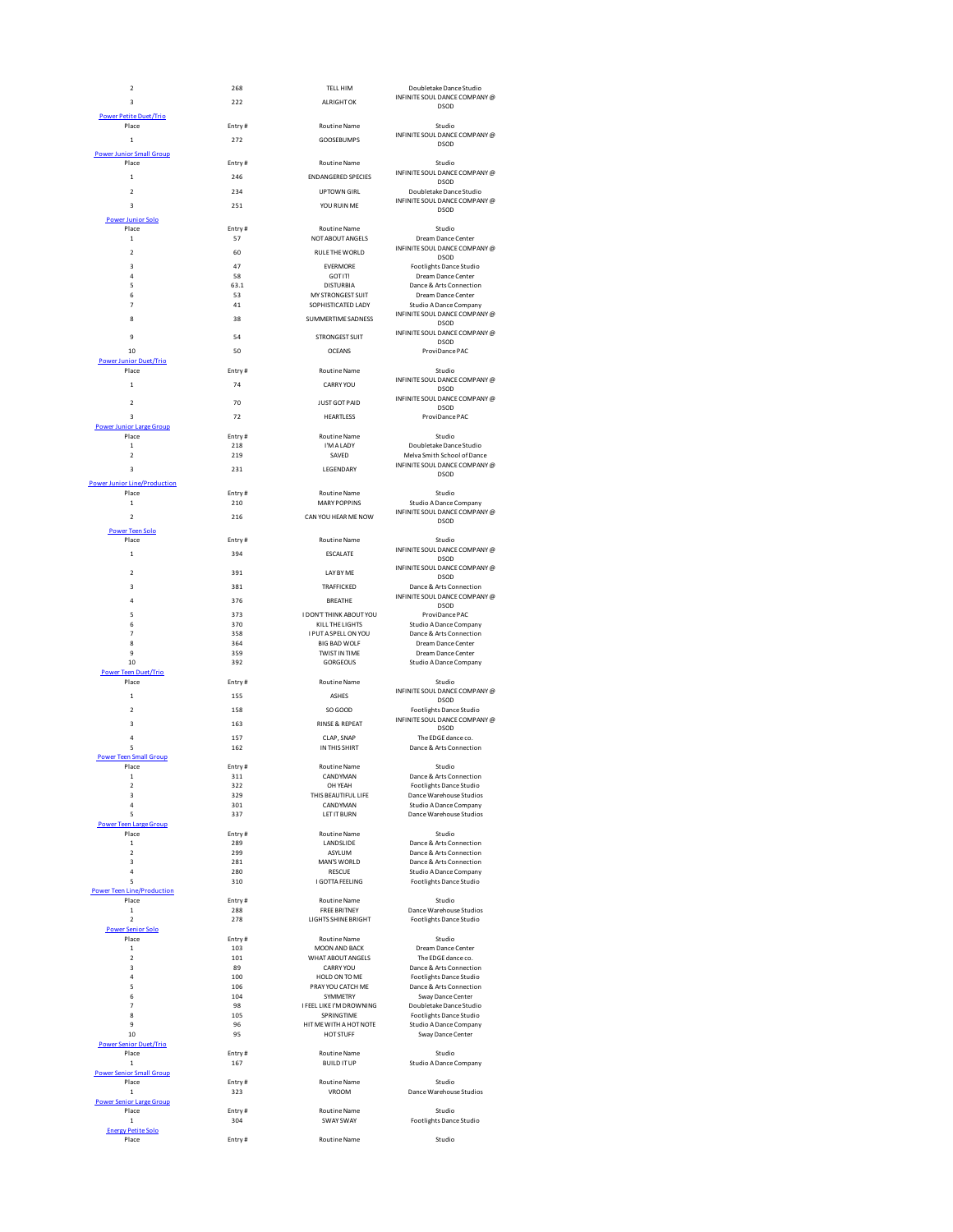| 2                                          | 268           | TELL HIM                              | Doubletake Dance Studio                            |
|--------------------------------------------|---------------|---------------------------------------|----------------------------------------------------|
| 3                                          | 222           | <b>ALRIGHT OK</b>                     | INFINITE SOUL DANCE COMPANY @<br><b>DSOD</b>       |
| <b>Power Petite Duet/Trio</b>              |               |                                       |                                                    |
| Place                                      | Entry#        | <b>Routine Name</b>                   | Studio                                             |
|                                            |               |                                       | INFINITE SOUL DANCE COMPANY @                      |
| $\mathbf{1}$                               | 272           | <b>GOOSFBUMPS</b>                     | <b>DSOD</b>                                        |
| <b>Power Junior Small Group</b>            |               |                                       |                                                    |
| Place                                      | Entry#        | <b>Routine Name</b>                   | Studio                                             |
| $\mathbf{1}$                               | 246           | <b>ENDANGERED SPECIES</b>             | INFINITE SOUL DANCE COMPANY @                      |
| $\mathfrak{p}$                             | 234           | <b>I IPTOMN GIRL</b>                  | <b>DSOD</b>                                        |
|                                            |               |                                       | Doubletake Dance Studio                            |
| $\overline{a}$                             | 251           | YOU RUIN MF                           | INFINITE SOUL DANCE COMPANY @<br><b>DSOD</b>       |
| <b>Power Junior Solo</b>                   |               |                                       |                                                    |
| Place                                      | Entry#        | Routine Name                          | Studio                                             |
| $\mathbf 1$                                | 57            | NOT ABOUT ANGELS                      | Dream Dance Center                                 |
| $\mathfrak{p}$                             | 60            | RULE THE WORLD                        | INFINITE SOUL DANCE COMPANY @                      |
|                                            |               |                                       | DSOD                                               |
| 3                                          | 47            | <b>EVERMORE</b>                       | Footlights Dance Studio                            |
| 4                                          | 58            | GOT IT!                               | Dream Dance Center                                 |
| 5<br>6                                     | 63.1<br>53    | <b>DISTURBIA</b><br>MY STRONGEST SUIT | Dance & Arts Connection<br>Dream Dance Center      |
| $\overline{7}$                             | 41            | SOPHISTICATED LADY                    | Studio A Dance Company                             |
|                                            |               |                                       | INFINITE SOUL DANCE COMPANY @                      |
| 8                                          | 38            | SUMMERTIME SADNESS                    | <b>DSOD</b>                                        |
|                                            |               |                                       | INFINITE SOUL DANCE COMPANY @                      |
| 9                                          | 54            | <b>STRONGEST SUIT</b>                 | <b>DSOD</b>                                        |
| 10                                         | 50            | <b>OCEANS</b>                         | ProviDance PAC                                     |
| <b>Power Junior Duet/Trio</b>              |               |                                       |                                                    |
| Place                                      | Entry#        | <b>Routine Name</b>                   | Studio                                             |
| $\mathbf{1}$                               | 74            | <b>CARRY YOU</b>                      | INFINITE SOUL DANCE COMPANY @<br><b>DSOD</b>       |
|                                            |               |                                       | INFINITE SOUL DANCE COMPANY @                      |
| $\mathfrak{p}$                             | 70            | <b>JUST GOT PAID</b>                  | <b>DSOD</b>                                        |
| 3                                          | 72            | <b>HEARTLESS</b>                      | ProviDance PAC                                     |
| <b>Power Junior Large Group</b>            |               |                                       |                                                    |
| Place                                      | Fntry#        | <b>Routine Name</b>                   | Studio                                             |
| $\mathbf{1}$                               | 218           | I'M A LADY                            | Doubletake Dance Studio                            |
| $\mathfrak{p}$                             | 219           | SAVED                                 | Melva Smith School of Dance                        |
| $\overline{\mathbf{3}}$                    | 231           | LEGENDARY                             | INFINITE SOUL DANCE COMPANY @                      |
| <b>Power Junior Line/Production</b>        |               |                                       | <b>DSOD</b>                                        |
| Place                                      | Entry#        | <b>Routine Name</b>                   | Studio                                             |
| $\mathbf{1}$                               | 210           | <b>MARY POPPINS</b>                   | Studio A Dance Company                             |
|                                            |               |                                       | INFINITE SOUL DANCE COMPANY @                      |
| $\overline{a}$                             | 216           | CAN YOU HEAR ME NOW                   | <b>DSOD</b>                                        |
| <b>Power Teen Solo</b>                     |               |                                       |                                                    |
| Place                                      | Entry#        | <b>Routine Name</b>                   | Studio                                             |
| $\mathbf{1}$                               | 394           | <b>ESCALATE</b>                       | INFINITE SOUL DANCE COMPANY @                      |
|                                            |               |                                       | <b>DSOD</b>                                        |
| $\overline{\mathbf{2}}$                    | 391           | LAY BY ME                             | INFINITE SOUL DANCE COMPANY @<br><b>DSOD</b>       |
| $\overline{\mathbf{3}}$                    | 381           | TRAFFICKED                            | Dance & Arts Connection                            |
|                                            |               |                                       | INFINITE SOUL DANCE COMPANY @                      |
| 4                                          | 376           | <b>BREATHE</b>                        | <b>DSOD</b>                                        |
| 5                                          | 373           | I DON'T THINK ABOUT YOU               | ProviDance PAC                                     |
| 6                                          | 370           | KILL THE LIGHTS                       | Studio A Dance Company                             |
| $\overline{7}$                             | 358           | I PUT A SPELL ON YOU                  | Dance & Arts Connection                            |
| $\mathbf{R}$                               | 364           | <b>BIG BAD WOLF</b>                   | Dream Dance Center                                 |
| 9                                          | 359           | <b>TWIST IN TIME</b>                  | Dream Dance Center                                 |
| 10                                         | 392           | GORGEOUS                              | Studio A Dance Company                             |
| <b>Power Teen Duet/Trio</b>                |               |                                       |                                                    |
| Place                                      | Entry#        | Routine Name                          | Studio<br>INFINITE SOUL DANCE COMPANY @            |
| $\mathbf 1$                                | 155           | <b>ASHES</b>                          | <b>DSOD</b>                                        |
| $\mathfrak{p}$                             | 158           | SO GOOD                               | Footlights Dance Studio                            |
|                                            |               |                                       | INFINITE SOUL DANCE COMPANY @                      |
| $\overline{\mathbf{3}}$                    | 163           | <b>RINSE &amp; REPEAT</b>             | <b>DSOD</b>                                        |
| 4                                          | 157           | CLAP, SNAP                            | The EDGE dance co.                                 |
| 5                                          | 162           | IN THIS SHIRT                         | Dance & Arts Connection                            |
| <b>Power Teen Small Group</b>              |               |                                       |                                                    |
| Place<br>$\mathbf{1}$                      | Entry#<br>311 | <b>Routine Name</b><br>CANDYMAN       | Studio<br>Dance & Arts Connection                  |
|                                            |               |                                       |                                                    |
| 2<br>3                                     | 322<br>329    | OH YEAH<br>THIS BEAUTIFUL LIFE        | Footlights Dance Studio<br>Dance Warehouse Studios |
| $\overline{a}$                             | 301           | CANDYMAN                              | Studio A Dance Company                             |
| 5                                          | 337           | LET IT BURN                           | Dance Warehouse Studios                            |
| <b>Power Teen Large Group</b>              |               |                                       |                                                    |
| Place                                      | Entry#        | Routine Name                          | Studio                                             |
| $\mathbf{1}$                               | 289           | LANDSLIDE                             | Dance & Arts Connection                            |
| $\overline{2}$                             | 299           | ASYLUM                                | Dance & Arts Connection                            |
| 3                                          | 281           | MAN'S WORLD                           | Dance & Arts Connection                            |
| 4                                          | 280           | <b>RESCUE</b>                         | Studio A Dance Company                             |
| 5                                          | 310           | I GOTTA FEELING                       | Footlights Dance Studio                            |
| <b>Power Teen Line/Production</b><br>Place | Entry#        | Routine Name                          | Studio                                             |
| $\mathbf 1$                                | 288           | <b>FREE BRITNEY</b>                   | Dance Warehouse Studios                            |
| $\overline{2}$                             | 278           | LIGHTS SHINE BRIGHT                   | Footlights Dance Studio                            |
| <b>Power Senior Solo</b>                   |               |                                       |                                                    |
| Place                                      | Entry#        | Routine Name                          | Studio                                             |
| $\mathbf 1$                                | 103           | MOON AND BACK                         | Dream Dance Center                                 |
| $\mathbf 2$                                | 101           | WHAT ABOUT ANGELS                     | The EDGE dance co.                                 |
| 3                                          | 89            | CARRY YOU                             | Dance & Arts Connection                            |
| 4                                          | 100           | HOLD ON TO ME                         | Footlights Dance Studio                            |
| 5                                          | 106           | PRAY YOU CATCH ME                     | Dance & Arts Connection                            |
| 6                                          | 104           | SYMMETRY                              | Sway Dance Center                                  |
| $\overline{7}$                             | 98            | I FEEL LIKE I'M DROWNING              | Doubletake Dance Studio                            |
| 8<br>9                                     | 105<br>96     | SPRINGTIME<br>HIT ME WITH A HOT NOTE  | Footlights Dance Studio<br>Studio A Dance Company  |
| 10                                         | 95            | HOT STUFF                             | Sway Dance Center                                  |
| <b>Power Senior Duet/Trio</b>              |               |                                       |                                                    |
| Place                                      | Entry#        | <b>Routine Name</b>                   | Studio                                             |
| $\mathbf{1}$                               | 167           | <b>BUILD IT UP</b>                    | Studio A Dance Company                             |
| <b>Power Senior Small Group</b>            |               |                                       |                                                    |
| Place                                      | Entry#        | <b>Routine Name</b>                   | Studio                                             |
| $\mathbf{1}$                               | 323           | <b>VROOM</b>                          | Dance Warehouse Studios                            |
| <b>Power Senior Large Group</b>            |               |                                       |                                                    |
| Place                                      | Entry#        | Routine Name                          | Studio                                             |
| $\mathbf 1$                                | 304           | SWAY SWAY                             | Footlights Dance Studio                            |
| <b>Energy Petite Solo</b><br>Place         | Entry#        |                                       | Studio                                             |
|                                            |               | Routine Name                          |                                                    |
|                                            |               |                                       |                                                    |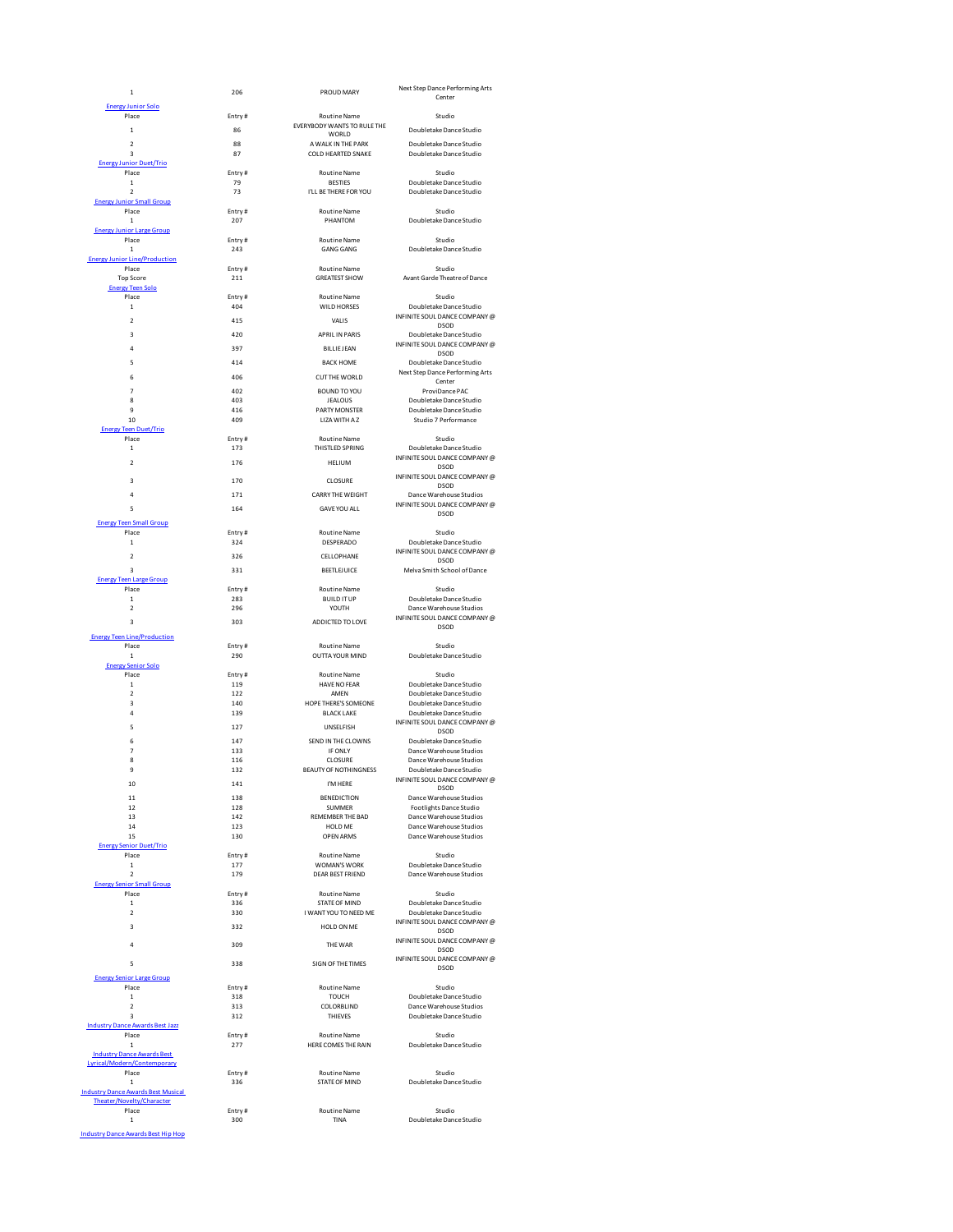| $\mathbf 1$                                                      | 206           | PROUD MARY                                     | Next Step Dance Performing Arts<br>Center                |
|------------------------------------------------------------------|---------------|------------------------------------------------|----------------------------------------------------------|
| <b>Energy Junior Solo</b>                                        |               |                                                |                                                          |
| Place                                                            | Entry#<br>86  | Routine Name<br>EVERYBODY WANTS TO RULE THE    | Studio                                                   |
| $\mathbf 1$<br>$\overline{2}$                                    | 88            | WORLD<br>A WALK IN THE PARK                    | Doubletake Dance Studio<br>Doubletake Dance Studio       |
| 3                                                                | 87            | COLD HEARTED SNAKE                             | Doubletake Dance Studio                                  |
| <b>Energy Junior Duet/Trio</b><br>Place                          | Entry#        | <b>Routine Name</b>                            | Studio                                                   |
| $\,$ 1                                                           | 79            | <b>BESTIES</b>                                 | Doubletake Dance Studio                                  |
| $\overline{2}$<br><b>Energy Junior Small Group</b>               | 73            | I'LL BE THERE FOR YOU                          | Doubletake Dance Studio                                  |
| Place                                                            | Entry#        | <b>Routine Name</b>                            | Studio                                                   |
| $\,$ 1<br><b>Energy Junior Large Group</b>                       | 207           | PHANTOM                                        | Doubletake Dance Studio                                  |
| Place                                                            | Entry#        | <b>Routine Name</b>                            | Studio                                                   |
| $\,$ 1<br><b>Energy Junior Line/Production</b>                   | 243           | <b>GANG GANG</b>                               | Doubletake Dance Studio                                  |
| Place                                                            | Entry#        | <b>Routine Name</b>                            | Studio                                                   |
| <b>Top Score</b><br><b>Energy Teen Solo</b>                      | 211           | <b>GREATEST SHOW</b>                           | Avant Garde Theatre of Dance                             |
| Place<br>$\mathbf{1}$                                            | Entry#<br>404 | <b>Routine Name</b><br>WILD HORSES             | Studio<br>Doubletake Dance Studio                        |
| $\mathfrak{p}$                                                   | 415           | VALIS                                          | INFINITE SOUL DANCE COMPANY @                            |
| 3                                                                | 420           | <b>APRIL IN PARIS</b>                          | <b>DSOD</b><br>Doubletake Dance Studio                   |
| $\overline{a}$                                                   | 397           | <b>BILLIF IFAN</b>                             | INFINITE SOUL DANCE COMPANY @                            |
| 5                                                                | 414           | <b>BACK HOME</b>                               | DSOD<br>Doubletake Dance Studio                          |
| 6                                                                | 406           | <b>CUTTHE WORLD</b>                            | Next Step Dance Performing Arts                          |
| $\overline{7}$                                                   | 402           | BOUND TO YOU                                   | Center<br>ProviDance PAC                                 |
| 8                                                                | 403           | <b>JEALOUS</b>                                 | Doubletake Dance Studio                                  |
| 9<br>10                                                          | 416<br>409    | PARTY MONSTER<br>LIZA WITH A Z                 | Doubletake Dance Studio<br>Studio 7 Performance          |
| <b>Energy Teen Duet/Trio</b>                                     |               |                                                |                                                          |
| Place<br>$\mathbf{1}$                                            | Fntry#<br>173 | <b>Routine Name</b><br>THISTLED SPRING         | Studio<br>Doubletake Dance Studio                        |
| $\mathfrak{p}$                                                   | 176           | HELIUM                                         | INFINITE SOUL DANCE COMPANY @<br><b>DSOD</b>             |
| 3                                                                | 170           | CLOSURE                                        | INFINITE SOUL DANCE COMPANY @                            |
| 4                                                                | 171           | <b>CARRY THE WEIGHT</b>                        | <b>DSOD</b><br>Dance Warehouse Studios                   |
| 5                                                                | 164           | <b>GAVE YOU ALL</b>                            | INFINITE SOUL DANCE COMPANY @                            |
| <b>Energy Teen Small Group</b>                                   |               |                                                | <b>DSOD</b>                                              |
| Place                                                            | Entry#        | <b>Routine Name</b>                            | Studio                                                   |
| $\mathbf{1}$                                                     | 324           | <b>DESPERADO</b>                               | Doubletake Dance Studio<br>INFINITE SOUL DANCE COMPANY @ |
| $\mathfrak{p}$                                                   | 326           | CELLOPHANE                                     | <b>DSOD</b>                                              |
| 3<br><b>Energy Teen Large Group</b>                              | 331           | <b>BEETLEJUICE</b>                             | Melva Smith School of Dance                              |
| Place                                                            | Entry#        | Routine Name                                   | Studio                                                   |
| $\,$ 1<br>$\overline{\mathbf{c}}$                                | 283<br>296    | <b>BUILD IT UP</b><br>YOUTH                    | Doubletake Dance Studio<br>Dance Warehouse Studios       |
| 3                                                                | 303           | ADDICTED TO LOVE                               | INFINITE SOUL DANCE COMPANY @<br>DSOD                    |
| <b>Energy Teen Line/Production</b>                               |               |                                                |                                                          |
| Place<br>$\mathbf{1}$                                            | Entry#<br>290 | <b>Routine Name</b><br>OUTTA YOUR MIND         | Studio<br>Doubletake Dance Studio                        |
| <b>Energy Senior Solo</b>                                        |               |                                                |                                                          |
| Place<br>$\mathbf{1}$                                            | Entry#<br>119 | <b>Routine Name</b><br><b>HAVE NO FEAR</b>     | Studio<br>Doubletake Dance Studio                        |
| $\mathfrak{p}$                                                   | 122           | AMEN                                           | Doubletake Dance Studio                                  |
| $\overline{a}$<br>$\overline{a}$                                 | 140<br>139    | HOPE THERE'S SOMEONE<br><b>BLACK LAKE</b>      | Doubletake Dance Studio<br>Doubletake Dance Studio       |
| 5                                                                | 127           | <b>UNSELFISH</b>                               | INFINITE SOUL DANCE COMPANY @                            |
| 6                                                                | 147           | SEND IN THE CLOWNS                             | DSOD<br>Doubletake Dance Studio                          |
| $\overline{7}$                                                   | 133           | IF ONLY                                        | Dance Warehouse Studios                                  |
| 8<br>9                                                           | 116<br>132    | CLOSURE<br><b>BEAUTY OF NOTHINGNESS</b>        | Dance Warehouse Studios<br>Doubletake Dance Studio       |
| 10                                                               | 141           | I'M HERE                                       | INFINITE SOUL DANCE COMPANY @<br><b>DSOD</b>             |
| 11                                                               | 138           | <b>BENEDICTION</b>                             | Dance Warehouse Studios                                  |
| 12<br>13                                                         | 128<br>142    | <b>SUMMER</b><br>REMEMBER THE BAD              | Footlights Dance Studio<br>Dance Warehouse Studios       |
| 14                                                               | 123           | HOLD ME                                        | Dance Warehouse Studios                                  |
| 15<br><b>Energy Senior Duet/Trio</b>                             | 130           | <b>OPEN ARMS</b>                               | Dance Warehouse Studios                                  |
| Place                                                            | Entry#        | Routine Name                                   | Studio                                                   |
| $\,$ 1<br>$\overline{2}$                                         | 177<br>179    | <b>WOMAN'S WORK</b><br><b>DEAR BEST FRIEND</b> | Doubletake Dance Studio<br>Dance Warehouse Studios       |
| <b>Energy Senior Small Group</b>                                 |               |                                                |                                                          |
| Place<br>$\mathbf 1$                                             | Entry#<br>336 | Routine Name<br><b>STATE OF MIND</b>           | Studio<br>Doubletake Dance Studio                        |
| $\mathfrak{p}$                                                   | 330           | I WANT YOU TO NEED ME                          | Doubletake Dance Studio<br>INFINITE SOUL DANCE COMPANY @ |
| 3                                                                | 332           | HOLD ON ME                                     | <b>DSOD</b>                                              |
| 4                                                                | 309           | THE WAR                                        | INFINITE SOUL DANCE COMPANY @<br><b>DSOD</b>             |
| 5                                                                | 338           | SIGN OF THE TIMES                              | INFINITE SOUL DANCE COMPANY @                            |
| <b>Energy Senior Large Group</b>                                 |               |                                                | <b>DSOD</b>                                              |
| Place                                                            | Entry#        | <b>Routine Name</b>                            | Studio                                                   |
| $\,1\,$<br>$\mathfrak{p}$                                        | 318<br>313    | <b>TOUCH</b><br>COLORBLIND                     | Doubletake Dance Studio<br>Dance Warehouse Studios       |
| $\overline{3}$                                                   | 312           | THIEVES                                        | Doubletake Dance Studio                                  |
| <b>Industry Dance Awards Best Jazz</b><br>Place                  | Entry#        | Routine Name                                   | Studio                                                   |
| $\mathbf{1}$                                                     | 277           | HERE COMES THE RAIN                            | Doubletake Dance Studio                                  |
| <b>Industry Dance Awards Best</b><br>Lyrical/Modern/Contemporary |               |                                                |                                                          |
| Place<br>$\mathbf{1}$                                            | Entry#        | Routine Name<br>STATE OF MIND                  | Studio                                                   |
| <b>Industry Dance Awards Best Musical</b>                        | 336           |                                                | Doubletake Dance Studio                                  |
| Theater/Novelty/Character<br>Place                               | Entry#        | <b>Routine Name</b>                            | Studio                                                   |
| $\mathbf{1}$                                                     | 300           | TINA                                           | Doubletake Dance Studio                                  |
| <b>Industry Dance Awards Best Hip Hop</b>                        |               |                                                |                                                          |